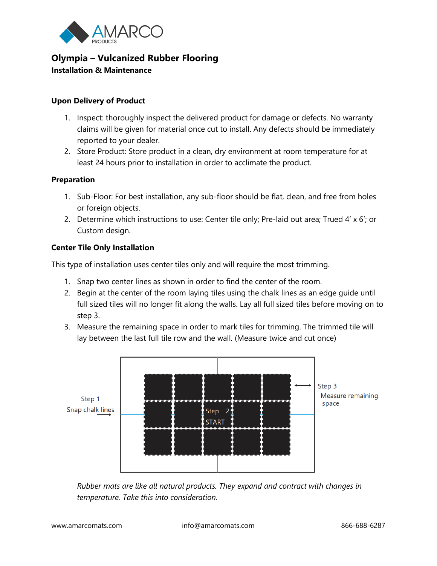

# **Olympia – Vulcanized Rubber Flooring Installation & Maintenance**

## **Upon Delivery of Product**

- 1. Inspect: thoroughly inspect the delivered product for damage or defects. No warranty claims will be given for material once cut to install. Any defects should be immediately reported to your dealer.
- 2. Store Product: Store product in a clean, dry environment at room temperature for at least 24 hours prior to installation in order to acclimate the product.

### **Preparation**

- 1. Sub-Floor: For best installation, any sub-floor should be flat, clean, and free from holes or foreign objects.
- 2. Determine which instructions to use: Center tile only; Pre-laid out area; Trued  $4' \times 6'$ ; or Custom design.

### **Center Tile Only Installation**

This type of installation uses center tiles only and will require the most trimming.

- 1. Snap two center lines as shown in order to find the center of the room.
- 2. Begin at the center of the room laying tiles using the chalk lines as an edge guide until full sized tiles will no longer fit along the walls. Lay all full sized tiles before moving on to step 3.
- 3. Measure the remaining space in order to mark tiles for trimming. The trimmed tile will lay between the last full tile row and the wall. (Measure twice and cut once)



*Rubber mats are like all natural products. They expand and contract with changes in temperature. Take this into consideration.*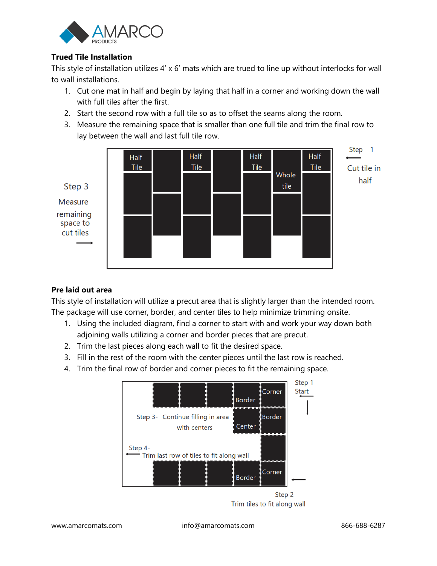

# **Trued Tile Installation**

This style of installation utilizes 4' x 6' mats which are trued to line up without interlocks for wall to wall installations.

- 1. Cut one mat in half and begin by laying that half in a corner and working down the wall with full tiles after the first.
- 2. Start the second row with a full tile so as to offset the seams along the room.
- 3. Measure the remaining space that is smaller than one full tile and trim the final row to lay between the wall and last full tile row.



# **Pre laid out area**

This style of installation will utilize a precut area that is slightly larger than the intended room. The package will use corner, border, and center tiles to help minimize trimming onsite.

- 1. Using the included diagram, find a corner to start with and work your way down both adjoining walls utilizing a corner and border pieces that are precut.
- 2. Trim the last pieces along each wall to fit the desired space.
- 3. Fill in the rest of the room with the center pieces until the last row is reached.
- 4. Trim the final row of border and corner pieces to fit the remaining space.



Trim tiles to fit along wall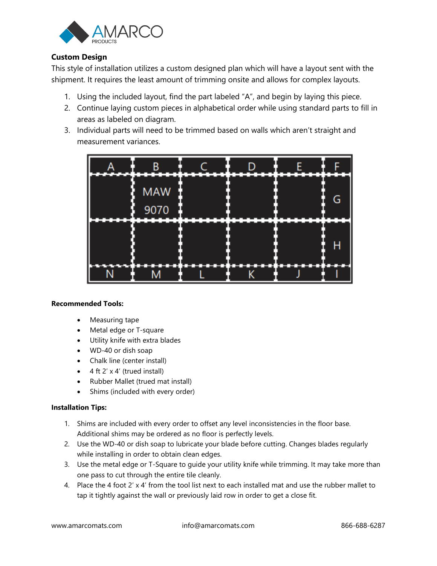

# **Custom Design**

This style of installation utilizes a custom designed plan which will have a layout sent with the shipment. It requires the least amount of trimming onsite and allows for complex layouts.

- 1. Using the included layout, find the part labeled "A", and begin by laying this piece.
- 2. Continue laying custom pieces in alphabetical order while using standard parts to fill in areas as labeled on diagram.
- 3. Individual parts will need to be trimmed based on walls which aren't straight and measurement variances.



### **Recommended Tools:**

- Measuring tape
- Metal edge or T-square
- Utility knife with extra blades
- WD-40 or dish soap
- Chalk line (center install)
- $\bullet$  4 ft 2' x 4' (trued install)
- Rubber Mallet (trued mat install)
- Shims (included with every order)

### **Installation Tips:**

- 1. Shims are included with every order to offset any level inconsistencies in the floor base. Additional shims may be ordered as no floor is perfectly levels.
- 2. Use the WD-40 or dish soap to lubricate your blade before cutting. Changes blades regularly while installing in order to obtain clean edges.
- 3. Use the metal edge or T-Square to guide your utility knife while trimming. It may take more than one pass to cut through the entire tile cleanly.
- 4. Place the 4 foot 2' x 4' from the tool list next to each installed mat and use the rubber mallet to tap it tightly against the wall or previously laid row in order to get a close fit.